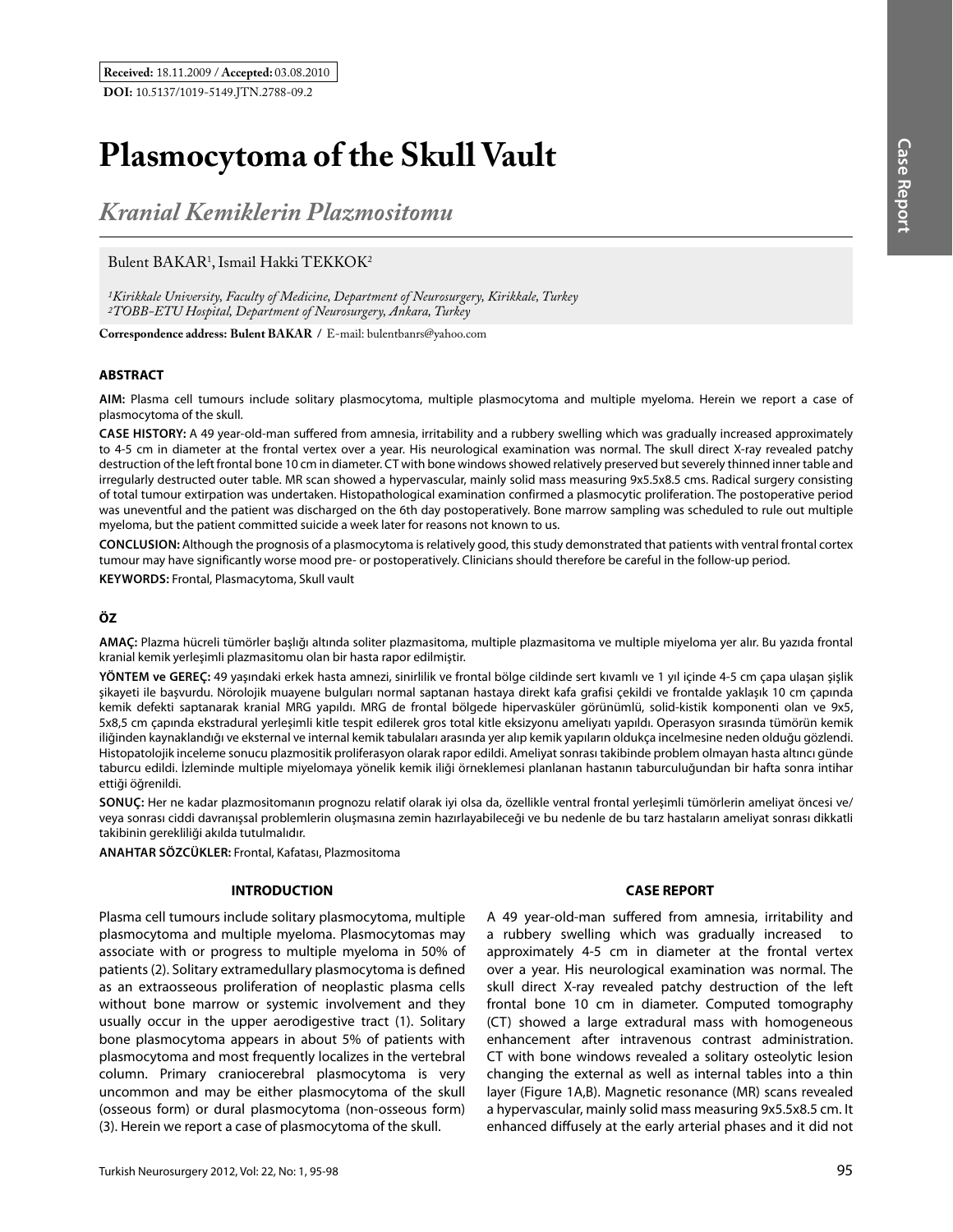# **Plasmocytoma of the Skull Vault**

*Kranial Kemiklerin Plazmositomu* 

# Bulent BAKAR<sup>1</sup>, Ismail Hakki TEKKOK<sup>2</sup>

*1Kirikkale University, Faculty of Medicine, Department of Neurosurgery, Kirikkale, Turkey 2TOBB-ETU Hospital, Department of Neurosurgery, Ankara, Turkey*

**Correspondence address: Bulent Bakar /** E-mail: bulentbanrs@yahoo.com

### **ABSTRACT**

**AIm:** Plasma cell tumours include solitary plasmocytoma, multiple plasmocytoma and multiple myeloma. Herein we report a case of plasmocytoma of the skull.

**Case HIstory:** A 49 year-old-man suffered from amnesia, irritability and a rubbery swelling which was gradually increased approximately to 4-5 cm in diameter at the frontal vertex over a year. His neurological examination was normal. The skull direct X-ray revealed patchy destruction of the left frontal bone 10 cm in diameter. CT with bone windows showed relatively preserved but severely thinned inner table and irregularly destructed outer table. MR scan showed a hypervascular, mainly solid mass measuring 9x5.5x8.5 cms. Radical surgery consisting of total tumour extirpation was undertaken. Histopathological examination confirmed a plasmocytic proliferation. The postoperative period was uneventful and the patient was discharged on the 6th day postoperatively. Bone marrow sampling was scheduled to rule out multiple myeloma, but the patient committed suicide a week later for reasons not known to us.

**ConclusIon:** Although the prognosis of a plasmocytoma is relatively good, this study demonstrated that patients with ventral frontal cortex tumour may have significantly worse mood pre- or postoperatively. Clinicians should therefore be careful in the follow-up period.

**Keywords:** Frontal, Plasmacytoma, Skull vault

# **ÖZ**

**AMAÇ:** Plazma hücreli tümörler başlığı altında soliter plazmasitoma, multiple plazmasitoma ve multiple miyeloma yer alır. Bu yazıda frontal kranial kemik yerleşimli plazmasitomu olan bir hasta rapor edilmiştir.

**YÖNTEM ve GEREÇ:** 49 yaşındaki erkek hasta amnezi, sinirlilik ve frontal bölge cildinde sert kıvamlı ve 1 yıl içinde 4-5 cm çapa ulaşan şişlik şikayeti ile başvurdu. Nörolojik muayene bulguları normal saptanan hastaya direkt kafa grafisi çekildi ve frontalde yaklaşık 10 cm çapında kemik defekti saptanarak kranial MRG yapıldı. MRG de frontal bölgede hipervasküler görünümlü, solid-kistik komponenti olan ve 9x5, 5x8,5 cm çapında ekstradural yerleşimli kitle tespit edilerek gros total kitle eksizyonu ameliyatı yapıldı. Operasyon sırasında tümörün kemik iliğinden kaynaklandığı ve eksternal ve internal kemik tabulaları arasında yer alıp kemik yapıların oldukça incelmesine neden olduğu gözlendi. Histopatolojik inceleme sonucu plazmositik proliferasyon olarak rapor edildi. Ameliyat sonrası takibinde problem olmayan hasta altıncı günde taburcu edildi. İzleminde multiple miyelomaya yönelik kemik iliği örneklemesi planlanan hastanın taburculuğundan bir hafta sonra intihar ettiği öğrenildi.

**SONUÇ:** Her ne kadar plazmositomanın prognozu relatif olarak iyi olsa da, özellikle ventral frontal yerleşimli tümörlerin ameliyat öncesi ve/ veya sonrası ciddi davranışsal problemlerin oluşmasına zemin hazırlayabileceği ve bu nedenle de bu tarz hastaların ameliyat sonrası dikkatli takibinin gerekliliği akılda tutulmalıdır.

**ANAHTAR SÖZCÜKLER:** Frontal, Kafatası, Plazmositoma

#### **INTRODUCTION**

Plasma cell tumours include solitary plasmocytoma, multiple plasmocytoma and multiple myeloma. Plasmocytomas may associate with or progress to multiple myeloma in 50% of patients (2). Solitary extramedullary plasmocytoma is defined as an extraosseous proliferation of neoplastic plasma cells without bone marrow or systemic involvement and they usually occur in the upper aerodigestive tract (1). Solitary bone plasmocytoma appears in about 5% of patients with plasmocytoma and most frequently localizes in the vertebral column. Primary craniocerebral plasmocytoma is very uncommon and may be either plasmocytoma of the skull (osseous form) or dural plasmocytoma (non-osseous form) (3). Herein we report a case of plasmocytoma of the skull.

#### **CASE REPORT**

A 49 year-old-man suffered from amnesia, irritability and a rubbery swelling which was gradually increased to approximately 4-5 cm in diameter at the frontal vertex over a year. His neurological examination was normal. The skull direct X-ray revealed patchy destruction of the left frontal bone 10 cm in diameter. Computed tomography (CT) showed a large extradural mass with homogeneous enhancement after intravenous contrast administration. CT with bone windows revealed a solitary osteolytic lesion changing the external as well as internal tables into a thin layer (Figure 1A,B). Magnetic resonance (MR) scans revealed a hypervascular, mainly solid mass measuring 9x5.5x8.5 cm. It enhanced diffusely at the early arterial phases and it did not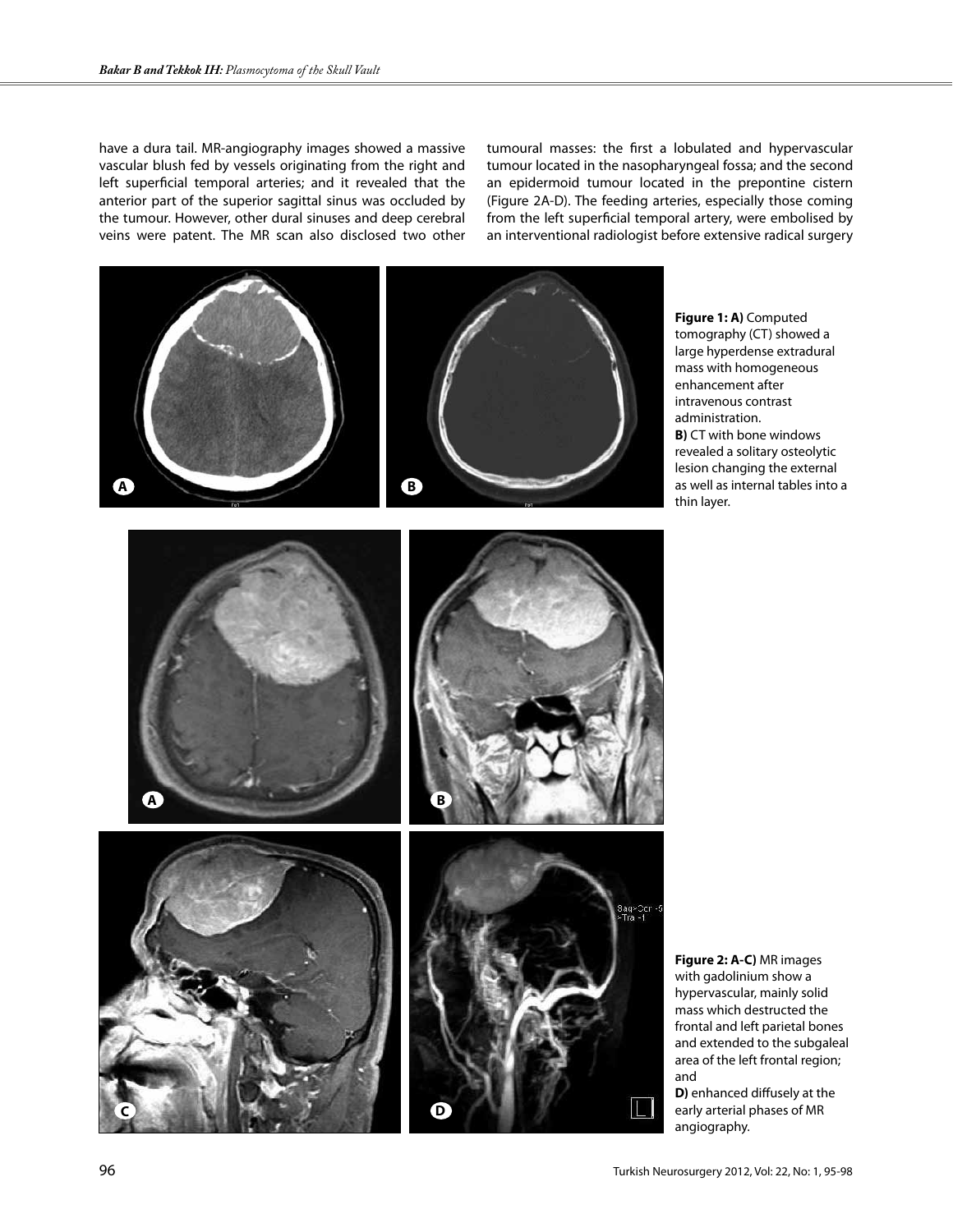have a dura tail. MR-angiography images showed a massive vascular blush fed by vessels originating from the right and left superficial temporal arteries; and it revealed that the anterior part of the superior sagittal sinus was occluded by the tumour. However, other dural sinuses and deep cerebral veins were patent. The MR scan also disclosed two other tumoural masses: the first a lobulated and hypervascular tumour located in the nasopharyngeal fossa; and the second an epidermoid tumour located in the prepontine cistern (Figure 2A-D). The feeding arteries, especially those coming from the left superficial temporal artery, were embolised by an interventional radiologist before extensive radical surgery

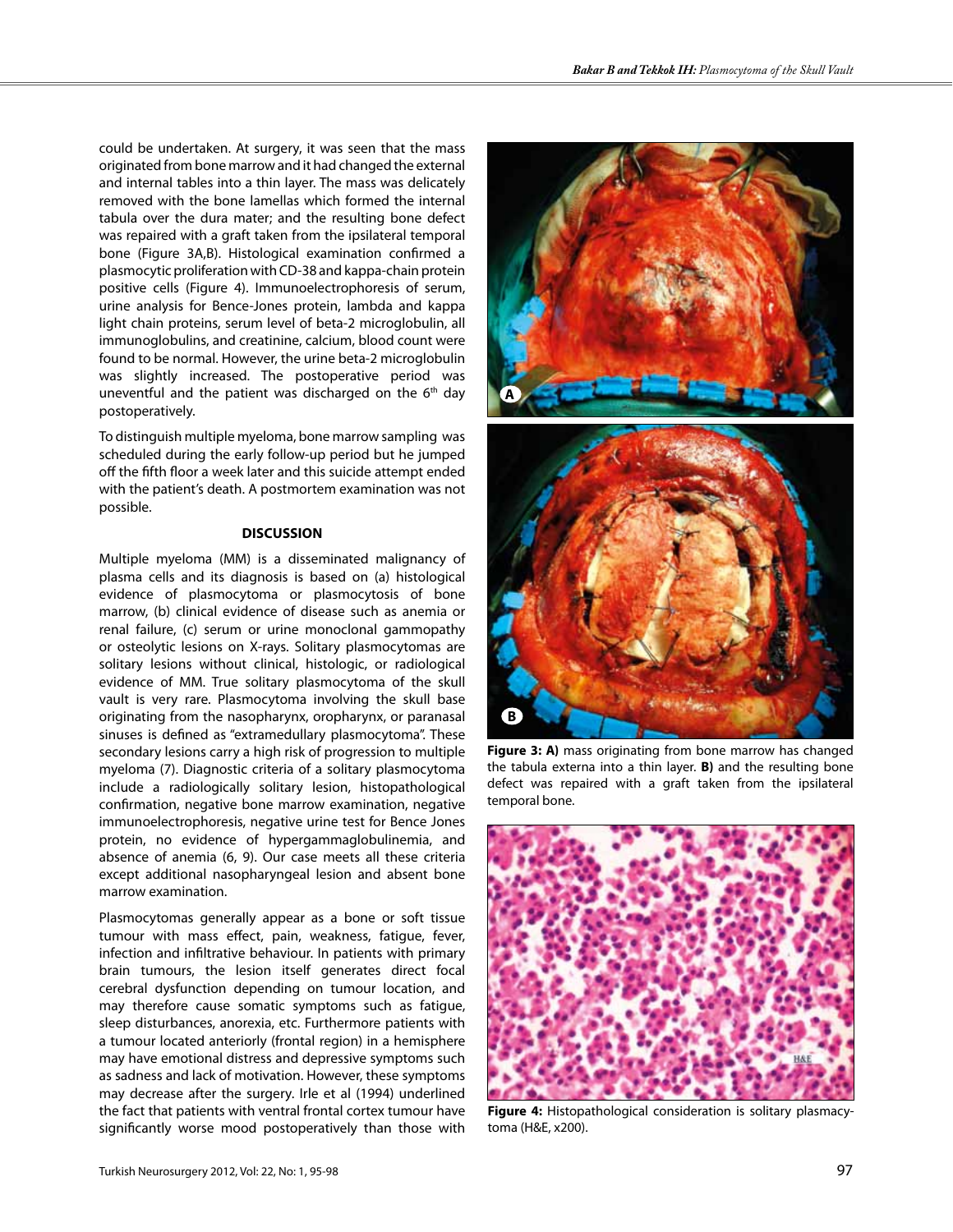could be undertaken. At surgery, it was seen that the mass originated from bone marrow and it had changed the external and internal tables into a thin layer. The mass was delicately removed with the bone lamellas which formed the internal tabula over the dura mater; and the resulting bone defect was repaired with a graft taken from the ipsilateral temporal bone (Figure 3A,B). Histological examination confirmed a plasmocytic proliferation with CD-38 and kappa-chain protein positive cells (Figure 4). Immunoelectrophoresis of serum, urine analysis for Bence-Jones protein, lambda and kappa light chain proteins, serum level of beta-2 microglobulin, all immunoglobulins, and creatinine, calcium, blood count were found to be normal. However, the urine beta-2 microglobulin was slightly increased. The postoperative period was uneventful and the patient was discharged on the 6<sup>th</sup> day postoperatively.

To distinguish multiple myeloma, bone marrow sampling was scheduled during the early follow-up period but he jumped off the fifth floor a week later and this suicide attempt ended with the patient's death. A postmortem examination was not possible.

#### **DISCUSSION**

Multiple myeloma (MM) is a disseminated malignancy of plasma cells and its diagnosis is based on (a) histological evidence of plasmocytoma or plasmocytosis of bone marrow, (b) clinical evidence of disease such as anemia or renal failure, (c) serum or urine monoclonal gammopathy or osteolytic lesions on X-rays. Solitary plasmocytomas are solitary lesions without clinical, histologic, or radiological evidence of MM. True solitary plasmocytoma of the skull vault is very rare. Plasmocytoma involving the skull base originating from the nasopharynx, oropharynx, or paranasal sinuses is defined as "extramedullary plasmocytoma". These secondary lesions carry a high risk of progression to multiple myeloma (7). Diagnostic criteria of a solitary plasmocytoma include a radiologically solitary lesion, histopathological confirmation, negative bone marrow examination, negative immunoelectrophoresis, negative urine test for Bence Jones protein, no evidence of hypergammaglobulinemia, and absence of anemia (6, 9). Our case meets all these criteria except additional nasopharyngeal lesion and absent bone marrow examination.

Plasmocytomas generally appear as a bone or soft tissue tumour with mass effect, pain, weakness, fatigue, fever, infection and infiltrative behaviour. In patients with primary brain tumours, the lesion itself generates direct focal cerebral dysfunction depending on tumour location, and may therefore cause somatic symptoms such as fatigue, sleep disturbances, anorexia, etc. Furthermore patients with a tumour located anteriorly (frontal region) in a hemisphere may have emotional distress and depressive symptoms such as sadness and lack of motivation. However, these symptoms may decrease after the surgery. Irle et al (1994) underlined the fact that patients with ventral frontal cortex tumour have significantly worse mood postoperatively than those with



**Figure 3: A)** mass originating from bone marrow has changed the tabula externa into a thin layer. **B)** and the resulting bone defect was repaired with a graft taken from the ipsilateral temporal bone.



**Figure 4:** Histopathological consideration is solitary plasmacytoma (H&E, x200).